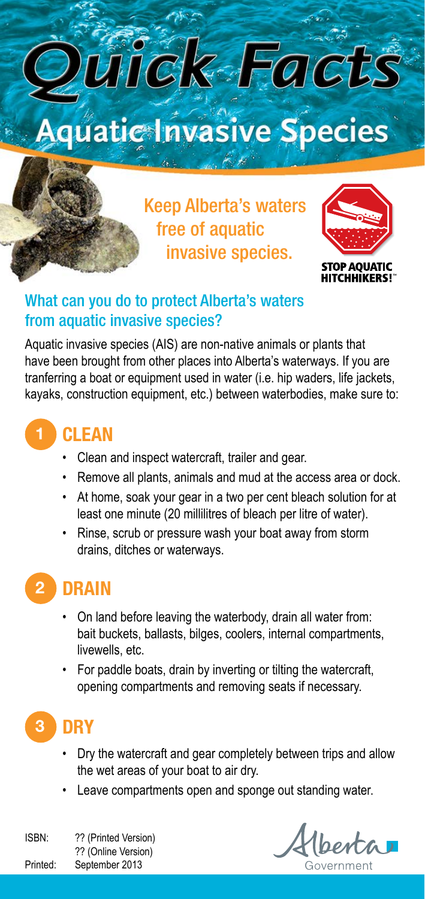

Keep Alberta's waters free of aquatic invasive species.



#### What can you do to protect Alberta's waters from aquatic invasive species?

Aquatic invasive species (AIS) are non-native animals or plants that have been brought from other places into Alberta's waterways. If you are tranferring a boat or equipment used in water (i.e. hip waders, life jackets, kayaks, construction equipment, etc.) between waterbodies, make sure to:

## 1 **CLEAN**

- • Clean and inspect watercraft, trailer and gear.
- Remove all plants, animals and mud at the access area or dock.
- • At home, soak your gear in a two per cent bleach solution for at least one minute (20 millilitres of bleach per litre of water).
- • Rinse, scrub or pressure wash your boat away from storm drains, ditches or waterways.

### 2 **DRAIN**

- On land before leaving the waterbody, drain all water from: bait buckets, ballasts, bilges, coolers, internal compartments, livewells, etc.
- For paddle boats, drain by inverting or tilting the watercraft, opening compartments and removing seats if necessary.

# 3 **DRY**

- Dry the watercraft and gear completely between trips and allow the wet areas of your boat to air dry.
- Leave compartments open and sponge out standing water.

ISBN: ?? (Printed Version) ?? (Online Version) Printed: September 2013